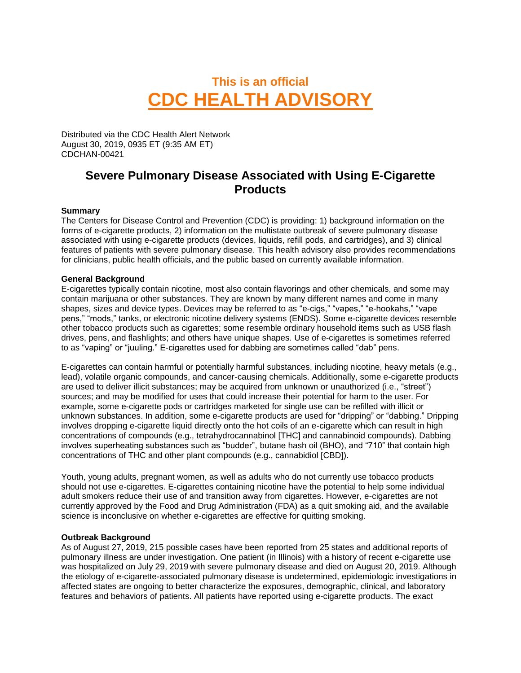# **This is an official CDC HEALTH ADVISORY**

Distributed via the CDC Health Alert Network August 30, 2019, 0935 ET (9:35 AM ET) CDCHAN-00421

# **Severe Pulmonary Disease Associated with Using E-Cigarette Products**

# **Summary**

The Centers for Disease Control and Prevention (CDC) is providing: 1) background information on the forms of e-cigarette products, 2) information on the multistate outbreak of severe pulmonary disease associated with using e-cigarette products (devices, liquids, refill pods, and cartridges), and 3) clinical features of patients with severe pulmonary disease. This health advisory also provides recommendations for clinicians, public health officials, and the public based on currently available information.

# **General Background**

E-cigarettes typically contain nicotine, most also contain flavorings and other chemicals, and some may contain marijuana or other substances. They are known by many different names and come in many shapes, sizes and device types. Devices may be referred to as "e-cigs," "vapes," "e-hookahs," "vape pens," "mods," tanks, or electronic nicotine delivery systems (ENDS). Some e-cigarette devices resemble other tobacco products such as cigarettes; some resemble ordinary household items such as USB flash drives, pens, and flashlights; and others have unique shapes. Use of e-cigarettes is sometimes referred to as "vaping" or "juuling." E-cigarettes used for dabbing are sometimes called "dab" pens.

E-cigarettes can contain harmful or potentially harmful substances, including nicotine, heavy metals (e.g., lead), volatile organic compounds, and cancer-causing chemicals. Additionally, some e-cigarette products are used to deliver illicit substances; may be acquired from unknown or unauthorized (i.e., "street") sources; and may be modified for uses that could increase their potential for harm to the user. For example, some e-cigarette pods or cartridges marketed for single use can be refilled with illicit or unknown substances. In addition, some e-cigarette products are used for "dripping" or "dabbing." Dripping involves dropping e-cigarette liquid directly onto the hot coils of an e-cigarette which can result in high concentrations of compounds (e.g., tetrahydrocannabinol [THC] and cannabinoid compounds). Dabbing involves superheating substances such as "budder", butane hash oil (BHO), and "710" that contain high concentrations of THC and other plant compounds (e.g., cannabidiol [CBD]).

Youth, young adults, pregnant women, as well as adults who do not currently use tobacco products should not use e-cigarettes. E-cigarettes containing nicotine have the potential to help some individual adult smokers reduce their use of and transition away from cigarettes. However, e-cigarettes are not currently approved by the Food and Drug Administration (FDA) as a quit smoking aid, and the available science is inconclusive on whether e-cigarettes are effective for quitting smoking.

# **Outbreak Background**

As of August 27, 2019, 215 possible cases have been reported from 25 states and additional reports of pulmonary illness are under investigation. One patient (in Illinois) with a history of recent e-cigarette use was hospitalized on July 29, 2019 with severe pulmonary disease and died on August 20, 2019. Although the etiology of e-cigarette-associated pulmonary disease is undetermined, epidemiologic investigations in affected states are ongoing to better characterize the exposures, demographic, clinical, and laboratory features and behaviors of patients. All patients have reported using e-cigarette products. The exact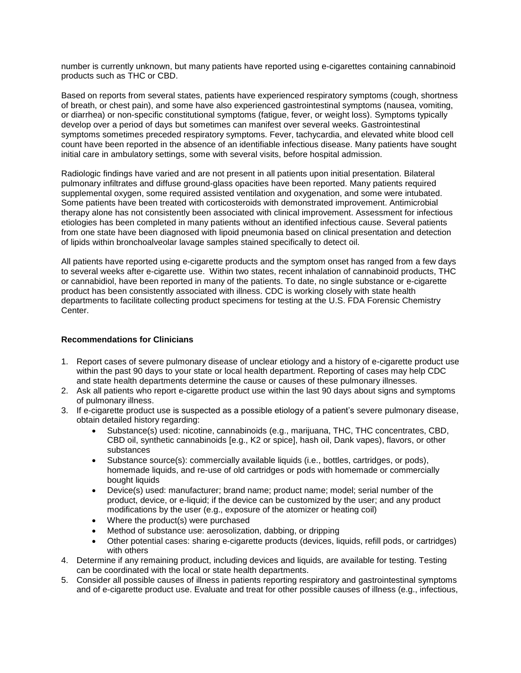number is currently unknown, but many patients have reported using e-cigarettes containing cannabinoid products such as THC or CBD.

Based on reports from several states, patients have experienced respiratory symptoms (cough, shortness of breath, or chest pain), and some have also experienced gastrointestinal symptoms (nausea, vomiting, or diarrhea) or non-specific constitutional symptoms (fatigue, fever, or weight loss). Symptoms typically develop over a period of days but sometimes can manifest over several weeks. Gastrointestinal symptoms sometimes preceded respiratory symptoms. Fever, tachycardia, and elevated white blood cell count have been reported in the absence of an identifiable infectious disease. Many patients have sought initial care in ambulatory settings, some with several visits, before hospital admission.

Radiologic findings have varied and are not present in all patients upon initial presentation. Bilateral pulmonary infiltrates and diffuse ground-glass opacities have been reported. Many patients required supplemental oxygen, some required assisted ventilation and oxygenation, and some were intubated. Some patients have been treated with corticosteroids with demonstrated improvement. Antimicrobial therapy alone has not consistently been associated with clinical improvement. Assessment for infectious etiologies has been completed in many patients without an identified infectious cause. Several patients from one state have been diagnosed with lipoid pneumonia based on clinical presentation and detection of lipids within bronchoalveolar lavage samples stained specifically to detect oil.

All patients have reported using e-cigarette products and the symptom onset has ranged from a few days to several weeks after e-cigarette use. Within two states, recent inhalation of cannabinoid products, THC or cannabidiol, have been reported in many of the patients. To date, no single substance or e-cigarette product has been consistently associated with illness. CDC is working closely with state health departments to facilitate collecting product specimens for testing at the U.S. FDA Forensic Chemistry Center.

# **Recommendations for Clinicians**

- 1. Report cases of severe pulmonary disease of unclear etiology and a history of e-cigarette product use within the past 90 days to your state or local health department. Reporting of cases may help CDC and state health departments determine the cause or causes of these pulmonary illnesses.
- 2. Ask all patients who report e-cigarette product use within the last 90 days about signs and symptoms of pulmonary illness.
- 3. If e-cigarette product use is suspected as a possible etiology of a patient's severe pulmonary disease, obtain detailed history regarding:
	- Substance(s) used: nicotine, cannabinoids (e.g., marijuana, THC, THC concentrates, CBD, CBD oil, synthetic cannabinoids [e.g., K2 or spice], hash oil, Dank vapes), flavors, or other substances
	- Substance source(s): commercially available liquids (i.e., bottles, cartridges, or pods), homemade liquids, and re-use of old cartridges or pods with homemade or commercially bought liquids
	- Device(s) used: manufacturer; brand name; product name; model; serial number of the product, device, or e-liquid; if the device can be customized by the user; and any product modifications by the user (e.g., exposure of the atomizer or heating coil)
	- Where the product(s) were purchased
	- Method of substance use: aerosolization, dabbing, or dripping
	- Other potential cases: sharing e-cigarette products (devices, liquids, refill pods, or cartridges) with others
- 4. Determine if any remaining product, including devices and liquids, are available for testing. Testing can be coordinated with the local or state health departments.
- 5. Consider all possible causes of illness in patients reporting respiratory and gastrointestinal symptoms and of e-cigarette product use. Evaluate and treat for other possible causes of illness (e.g., infectious,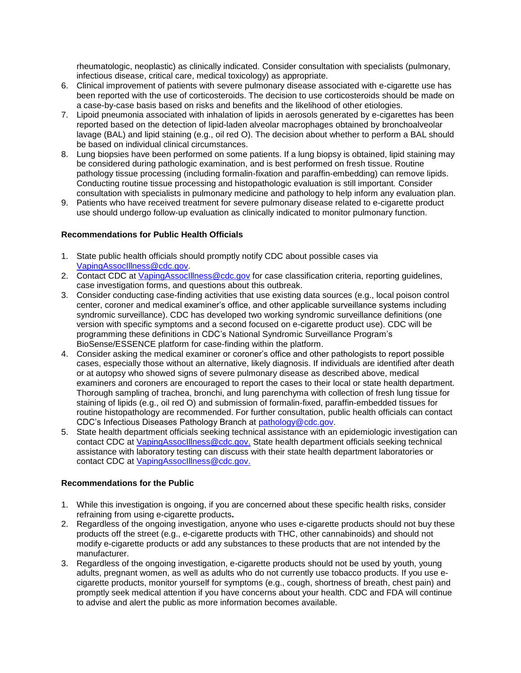rheumatologic, neoplastic) as clinically indicated. Consider consultation with specialists (pulmonary, infectious disease, critical care, medical toxicology) as appropriate.

- 6. Clinical improvement of patients with severe pulmonary disease associated with e-cigarette use has been reported with the use of corticosteroids. The decision to use corticosteroids should be made on a case-by-case basis based on risks and benefits and the likelihood of other etiologies.
- 7. Lipoid pneumonia associated with inhalation of lipids in aerosols generated by e-cigarettes has been reported based on the detection of lipid-laden alveolar macrophages obtained by bronchoalveolar lavage (BAL) and lipid staining (e.g., oil red O). The decision about whether to perform a BAL should be based on individual clinical circumstances.
- 8. Lung biopsies have been performed on some patients. If a lung biopsy is obtained, lipid staining may be considered during pathologic examination, and is best performed on fresh tissue. Routine pathology tissue processing (including formalin-fixation and paraffin-embedding) can remove lipids. Conducting routine tissue processing and histopathologic evaluation is still important. Consider consultation with specialists in pulmonary medicine and pathology to help inform any evaluation plan.
- 9. Patients who have received treatment for severe pulmonary disease related to e-cigarette product use should undergo follow-up evaluation as clinically indicated to monitor pulmonary function.

# **Recommendations for Public Health Officials**

- 1. State public health officials should promptly notify CDC about possible cases via [VapingAssocIllness@cdc.gov.](mailto:VapingAssocIllness@cdc.gov)
- 2. Contact CDC at [VapingAssocIllness@cdc.gov](mailto:VapingAssocIllness@cdc.gov) for case classification criteria, reporting guidelines, case investigation forms, and questions about this outbreak.
- 3. Consider conducting case-finding activities that use existing data sources (e.g., local poison control center, coroner and medical examiner's office, and other applicable surveillance systems including syndromic surveillance). CDC has developed two working syndromic surveillance definitions (one version with specific symptoms and a second focused on e-cigarette product use). CDC will be programming these definitions in CDC's National Syndromic Surveillance Program's BioSense/ESSENCE platform for case-finding within the platform.
- 4. Consider asking the medical examiner or coroner's office and other pathologists to report possible cases, especially those without an alternative, likely diagnosis. If individuals are identified after death or at autopsy who showed signs of severe pulmonary disease as described above, medical examiners and coroners are encouraged to report the cases to their local or state health department. Thorough sampling of trachea, bronchi, and lung parenchyma with collection of fresh lung tissue for staining of lipids (e.g., oil red O) and submission of formalin-fixed, paraffin-embedded tissues for routine histopathology are recommended. For further consultation, public health officials can contact CDC's Infectious Diseases Pathology Branch at [pathology@cdc.gov.](mailto:pathology@cdc.gov)
- 5. State health department officials seeking technical assistance with an epidemiologic investigation can contact CDC at [VapingAssocIllness@cdc.gov.](mailto:VapingAssocIllness@cdc.gov) State health department officials seeking technical assistance with laboratory testing can discuss with their state health department laboratories or contact CDC at [VapingAssocIllness@cdc.gov.](mailto:VapingAssocIllness@cdc.gov)

# **Recommendations for the Public**

- 1. While this investigation is ongoing, if you are concerned about these specific health risks, consider refraining from using e-cigarette products**.**
- 2. Regardless of the ongoing investigation, anyone who uses e-cigarette products should not buy these products off the street (e.g., e-cigarette products with THC, other cannabinoids) and should not modify e-cigarette products or add any substances to these products that are not intended by the manufacturer.
- 3. Regardless of the ongoing investigation, e-cigarette products should not be used by youth, young adults, pregnant women, as well as adults who do not currently use tobacco products. If you use ecigarette products, monitor yourself for symptoms (e.g., cough, shortness of breath, chest pain) and promptly seek medical attention if you have concerns about your health. CDC and FDA will continue to advise and alert the public as more information becomes available.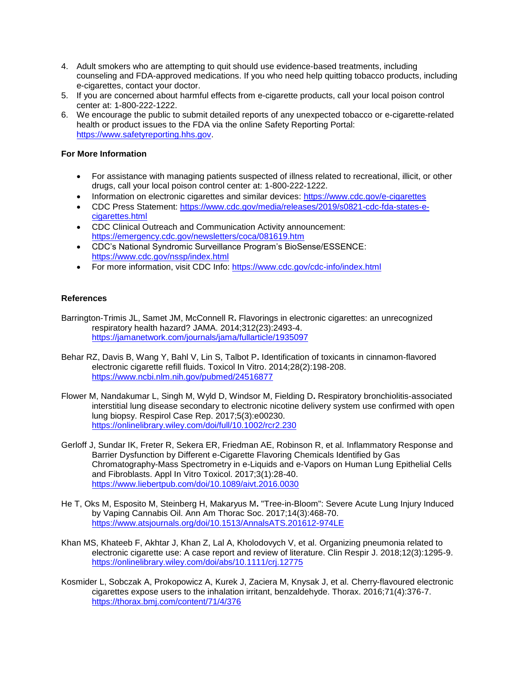- 4. Adult smokers who are attempting to quit should use evidence-based treatments, including counseling and FDA-approved medications. If you who need help quitting tobacco products, including e-cigarettes, contact your doctor.
- 5. If you are concerned about harmful effects from e-cigarette products, call your local poison control center at: 1-800-222-1222.
- 6. We encourage the public to submit detailed reports of any unexpected tobacco or e-cigarette-related health or product issues to the FDA via the online Safety Reporting Portal: https://www.safetyreporting.hhs.gov.

# **For More Information**

- For assistance with managing patients suspected of illness related to recreational, illicit, or other drugs, call your local poison control center at: 1-800-222-1222.
- Information on electronic cigarettes and similar devices: https://www.cdc.gov/e-cigarettes
- CDC Press Statement: [https://www.cdc.gov/media/releases/2019/s0821-cdc-fda-states-e](https://www.cdc.gov/media/releases/2019/s0821-cdc-fda-states-e-cigarettes.html)[cigarettes.html](https://www.cdc.gov/media/releases/2019/s0821-cdc-fda-states-e-cigarettes.html)
- CDC Clinical Outreach and Communication Activity announcement: <https://emergency.cdc.gov/newsletters/coca/081619.htm>
- CDC's National Syndromic Surveillance Program's BioSense/ESSENCE: <https://www.cdc.gov/nssp/index.html>
- For more information, visit CDC Info:<https://www.cdc.gov/cdc-info/index.html>

# **References**

- Barrington-Trimis JL, Samet JM, McConnell R**.** Flavorings in electronic cigarettes: an unrecognized respiratory health hazard? JAMA. 2014;312(23):2493-4. <https://jamanetwork.com/journals/jama/fullarticle/1935097>
- Behar RZ, Davis B, Wang Y, Bahl V, Lin S, Talbot P**.** Identification of toxicants in cinnamon-flavored electronic cigarette refill fluids. Toxicol In Vitro. 2014;28(2):198-208. <https://www.ncbi.nlm.nih.gov/pubmed/24516877>
- Flower M, Nandakumar L, Singh M, Wyld D, Windsor M, Fielding D**.** Respiratory bronchiolitis-associated interstitial lung disease secondary to electronic nicotine delivery system use confirmed with open lung biopsy. Respirol Case Rep. 2017;5(3):e00230. <https://onlinelibrary.wiley.com/doi/full/10.1002/rcr2.230>
- Gerloff J, Sundar IK, Freter R, Sekera ER, Friedman AE, Robinson R, et al. Inflammatory Response and Barrier Dysfunction by Different e-Cigarette Flavoring Chemicals Identified by Gas Chromatography-Mass Spectrometry in e-Liquids and e-Vapors on Human Lung Epithelial Cells and Fibroblasts. Appl In Vitro Toxicol. 2017;3(1):28-40. <https://www.liebertpub.com/doi/10.1089/aivt.2016.0030>
- He T, Oks M, Esposito M, Steinberg H, Makaryus M**.** "Tree-in-Bloom": Severe Acute Lung Injury Induced by Vaping Cannabis Oil. Ann Am Thorac Soc. 2017;14(3):468-70. <https://www.atsjournals.org/doi/10.1513/AnnalsATS.201612-974LE>
- Khan MS, Khateeb F, Akhtar J, Khan Z, Lal A, Kholodovych V, et al. Organizing pneumonia related to electronic cigarette use: A case report and review of literature. Clin Respir J. 2018;12(3):1295-9. <https://onlinelibrary.wiley.com/doi/abs/10.1111/crj.12775>
- Kosmider L, Sobczak A, Prokopowicz A, Kurek J, Zaciera M, Knysak J, et al. Cherry-flavoured electronic cigarettes expose users to the inhalation irritant, benzaldehyde. Thorax. 2016;71(4):376-7. <https://thorax.bmj.com/content/71/4/376>